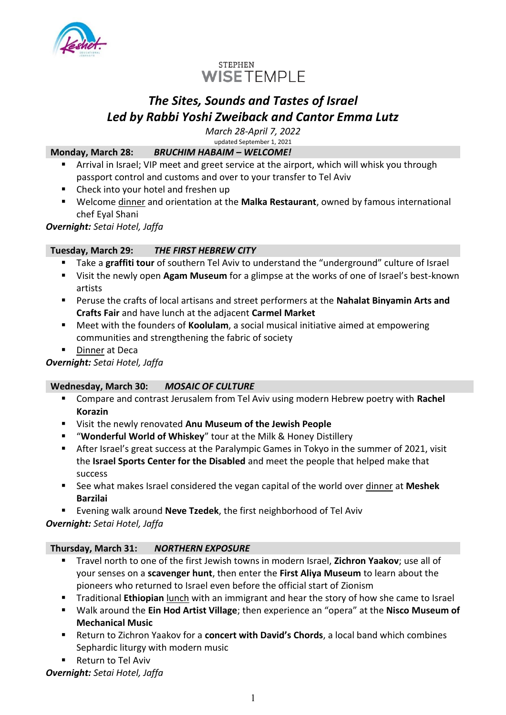



# *The Sites, Sounds and Tastes of Israel Led by Rabbi Yoshi Zweiback and Cantor Emma Lutz*

*March 28-April 7, 2022* updated September 1, 2021

## **Monday, March 28:** *BRUCHIM HABAIM – WELCOME!*

- Arrival in Israel; VIP meet and greet service at the airport, which will whisk you through passport control and customs and over to your transfer to Tel Aviv
- Check into your hotel and freshen up
- Welcome dinner and orientation at the **Malka Restaurant**, owned by famous international chef Eyal Shani

*Overnight: Setai Hotel, Jaffa*

## **Tuesday, March 29:** *THE FIRST HEBREW CITY*

- Take a graffiti tour of southern Tel Aviv to understand the "underground" culture of Israel
- Visit the newly open **Agam Museum** for a glimpse at the works of one of Israel's best-known artists
- Peruse the crafts of local artisans and street performers at the **Nahalat Binyamin Arts and Crafts Fair** and have lunch at the adjacent **Carmel Market**
- Meet with the founders of **Koolulam**, a social musical initiative aimed at empowering communities and strengthening the fabric of society.
- Dinner at Deca

## *Overnight: Setai Hotel, Jaffa*

## **Wednesday, March 30:** *MOSAIC OF CULTURE*

- Compare and contrast Jerusalem from Tel Aviv using modern Hebrew poetry with **Rachel Korazin**
- Visit the newly renovated **Anu Museum of the Jewish People**
- "**Wonderful World of Whiskey**" tour at the Milk & Honey Distillery
- **EXECT** After Israel's great success at the Paralympic Games in Tokyo in the summer of 2021, visit the **Israel Sports Center for the Disabled** and meet the people that helped make that success
- See what makes Israel considered the vegan capital of the world over dinner at Meshek **Barzilai**
- Evening walk around **Neve Tzedek**, the first neighborhood of Tel Aviv

*Overnight: Setai Hotel, Jaffa*

## **Thursday, March 31:** *NORTHERN EXPOSURE*

- Travel north to one of the first Jewish towns in modern Israel, **Zichron Yaakov**; use all of your senses on a **scavenger hunt**, then enter the **First Aliya Museum** to learn about the pioneers who returned to Israel even before the official start of Zionism
- **Traditional Ethiopian** lunch with an immigrant and hear the story of how she came to Israel
- Walk around the **Ein Hod Artist Village**; then experience an "opera" at the **Nisco Museum of Mechanical Music**
- Return to Zichron Yaakov for a **concert with David's Chords**, a local band which combines Sephardic liturgy with modern music
- Return to Tel Aviv

*Overnight: Setai Hotel, Jaffa*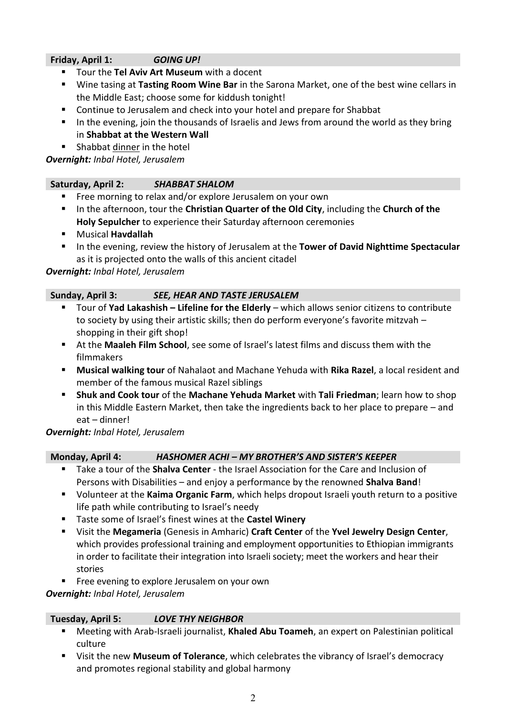## **Friday, April 1:** *GOING UP!*

- Tour the **Tel Aviv Art Museum** with a docent
- Wine tasing at **Tasting Room Wine Bar** in the Sarona Market, one of the best wine cellars in the Middle East; choose some for kiddush tonight!
- Continue to Jerusalem and check into your hotel and prepare for Shabbat
- **■** In the evening, join the thousands of Israelis and Jews from around the world as they bring in **Shabbat at the Western Wall**
- Shabbat dinner in the hotel

*Overnight: Inbal Hotel, Jerusalem*

#### **Saturday, April 2:** *SHABBAT SHALOM*

- Free morning to relax and/or explore Jerusalem on your own
- In the afternoon, tour the **Christian Quarter of the Old City**, including the **Church of the Holy Sepulcher** to experience their Saturday afternoon ceremonies
- Musical **Havdallah**
- **E** In the evening, review the history of Jerusalem at the Tower of David Nighttime Spectacular as it is projected onto the walls of this ancient citadel

#### *Overnight: Inbal Hotel, Jerusalem*

## **Sunday, April 3:** *SEE, HEAR AND TASTE JERUSALEM*

- Tour of **Yad Lakashish Lifeline for the Elderly** which allows senior citizens to contribute to society by using their artistic skills; then do perform everyone's favorite mitzvah – shopping in their gift shop!
- At the **Maaleh Film School**, see some of Israel's latest films and discuss them with the filmmakers
- **Musical walking tour** of Nahalaot and Machane Yehuda with **Rika Razel**, a local resident and member of the famous musical Razel siblings
- **Shuk and Cook tour** of the **Machane Yehuda Market** with **Tali Friedman**; learn how to shop in this Middle Eastern Market, then take the ingredients back to her place to prepare – and eat – dinner!

## *Overnight: Inbal Hotel, Jerusalem*

## **Monday, April 4:** *HASHOMER ACHI – MY BROTHER'S AND SISTER'S KEEPER*

- Take a tour of the **Shalva Center** the Israel Association for the Care and Inclusion of Persons with Disabilities – and enjoy a performance by the renowned **Shalva Band**!
- Volunteer at the **Kaima Organic Farm**, which helps dropout Israeli youth return to a positive life path while contributing to Israel's needy
- Taste some of Israel's finest wines at the **Castel Winery**
- Visit the **Megameria** (Genesis in Amharic) **Craft Center** of the **Yvel Jewelry Design Center**, which provides professional training and employment opportunities to Ethiopian immigrants in order to facilitate their integration into Israeli society; meet the workers and hear their stories
- Free evening to explore Jerusalem on your own

*Overnight: Inbal Hotel, Jerusalem*

#### **Tuesday, April 5:** *LOVE THY NEIGHBOR*

- Meeting with Arab-Israeli journalist, **Khaled Abu Toameh**, an expert on Palestinian political culture
- Visit the new **Museum of Tolerance**, which celebrates the vibrancy of Israel's democracy and promotes regional stability and global harmony